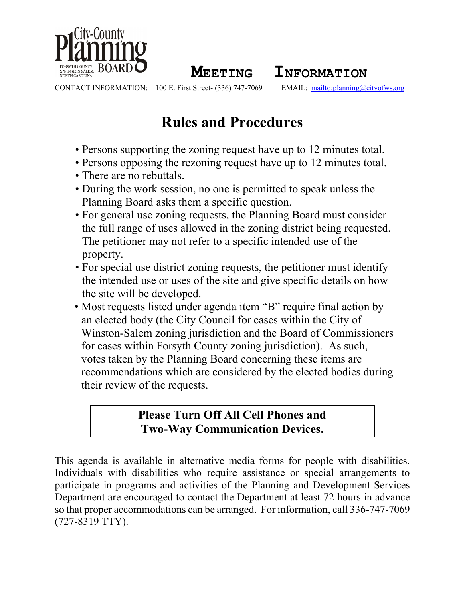

**MEETING INFORMATION**<br>100 E. First Street- (336) 747-7069 **EMAIL**: mailto:planning@

CONTACT INFORMATION: 100 E. First Street- (336) 747-7069 EMAIL: <mailto:planning@cityofws.org>

# **Rules and Procedures**

- Persons supporting the zoning request have up to 12 minutes total.
- Persons opposing the rezoning request have up to 12 minutes total.
- There are no rebuttals.
- During the work session, no one is permitted to speak unless the Planning Board asks them a specific question.
- For general use zoning requests, the Planning Board must consider the full range of uses allowed in the zoning district being requested. The petitioner may not refer to a specific intended use of the property.
- For special use district zoning requests, the petitioner must identify the intended use or uses of the site and give specific details on how the site will be developed.
- Most requests listed under agenda item "B" require final action by an elected body (the City Council for cases within the City of Winston-Salem zoning jurisdiction and the Board of Commissioners for cases within Forsyth County zoning jurisdiction). As such, votes taken by the Planning Board concerning these items are recommendations which are considered by the elected bodies during their review of the requests.

## **Please Turn Off All Cell Phones and Two-Way Communication Devices.**

This agenda is available in alternative media forms for people with disabilities. Individuals with disabilities who require assistance or special arrangements to participate in programs and activities of the Planning and Development Services Department are encouraged to contact the Department at least 72 hours in advance so that proper accommodations can be arranged. For information, call 336-747-7069 (727-8319 TTY).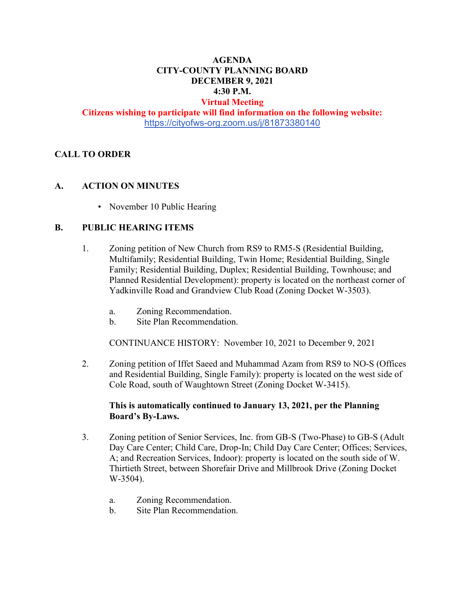### **AGENDA CITY-COUNTY PLANNING BOARD DECEMBER 9, 2021 4:30 P.M.**

# **Virtual Meeting**

**Citizens wishing to participate will find information on the following website:** <https://cityofws-org.zoom.us/j/81873380140>

#### **CALL TO ORDER**

#### **A. ACTION ON MINUTES**

• November 10 Public Hearing

#### **B. PUBLIC HEARING ITEMS**

- 1. Zoning petition of New Church from RS9 to RM5-S (Residential Building, Multifamily; Residential Building, Twin Home; Residential Building, Single Family; Residential Building, Duplex; Residential Building, Townhouse; and Planned Residential Development): property is located on the northeast corner of Yadkinville Road and Grandview Club Road (Zoning Docket W-3503).
	- a. Zoning Recommendation.
	- b. Site Plan Recommendation.

CONTINUANCE HISTORY: November 10, 2021 to December 9, 2021

2. Zoning petition of Iffet Saeed and Muhammad Azam from RS9 to NO-S (Offices and Residential Building, Single Family): property is located on the west side of Cole Road, south of Waughtown Street (Zoning Docket W-3415).

#### **This is automatically continued to January 13, 2021, per the Planning Board's By-Laws.**

- 3. Zoning petition of Senior Services, Inc. from GB-S (Two-Phase) to GB-S (Adult Day Care Center; Child Care, Drop-In; Child Day Care Center; Offices; Services, A; and Recreation Services, Indoor): property is located on the south side of W. Thirtieth Street, between Shorefair Drive and Millbrook Drive (Zoning Docket W-3504).
	- a. Zoning Recommendation.
	- b. Site Plan Recommendation.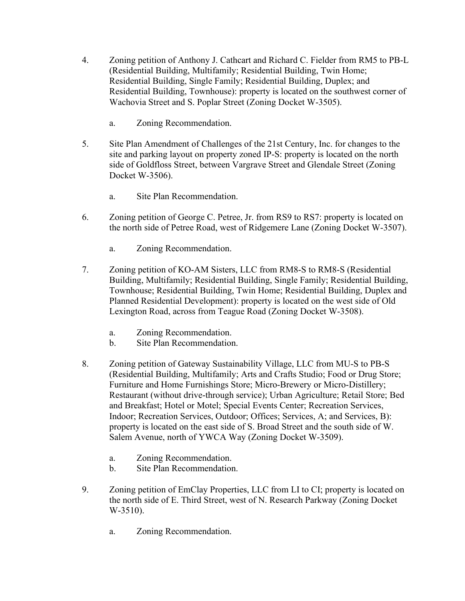- 4. Zoning petition of Anthony J. Cathcart and Richard C. Fielder from RM5 to PB-L (Residential Building, Multifamily; Residential Building, Twin Home; Residential Building, Single Family; Residential Building, Duplex; and Residential Building, Townhouse): property is located on the southwest corner of Wachovia Street and S. Poplar Street (Zoning Docket W-3505).
	- a. Zoning Recommendation.
- 5. Site Plan Amendment of Challenges of the 21st Century, Inc. for changes to the site and parking layout on property zoned IP-S: property is located on the north side of Goldfloss Street, between Vargrave Street and Glendale Street (Zoning Docket W-3506).
	- a. Site Plan Recommendation.
- 6. Zoning petition of George C. Petree, Jr. from RS9 to RS7: property is located on the north side of Petree Road, west of Ridgemere Lane (Zoning Docket W-3507).
	- a. Zoning Recommendation.
- 7. Zoning petition of KO-AM Sisters, LLC from RM8-S to RM8-S (Residential Building, Multifamily; Residential Building, Single Family; Residential Building, Townhouse; Residential Building, Twin Home; Residential Building, Duplex and Planned Residential Development): property is located on the west side of Old Lexington Road, across from Teague Road (Zoning Docket W-3508).
	- a. Zoning Recommendation.
	- b. Site Plan Recommendation.
- 8. Zoning petition of Gateway Sustainability Village, LLC from MU-S to PB-S (Residential Building, Multifamily; Arts and Crafts Studio; Food or Drug Store; Furniture and Home Furnishings Store; Micro-Brewery or Micro-Distillery; Restaurant (without drive-through service); Urban Agriculture; Retail Store; Bed and Breakfast; Hotel or Motel; Special Events Center; Recreation Services, Indoor; Recreation Services, Outdoor; Offices; Services, A; and Services, B): property is located on the east side of S. Broad Street and the south side of W. Salem Avenue, north of YWCA Way (Zoning Docket W-3509).
	- a. Zoning Recommendation.
	- b. Site Plan Recommendation.
- 9. Zoning petition of EmClay Properties, LLC from LI to CI; property is located on the north side of E. Third Street, west of N. Research Parkway (Zoning Docket W-3510).
	- a. Zoning Recommendation.